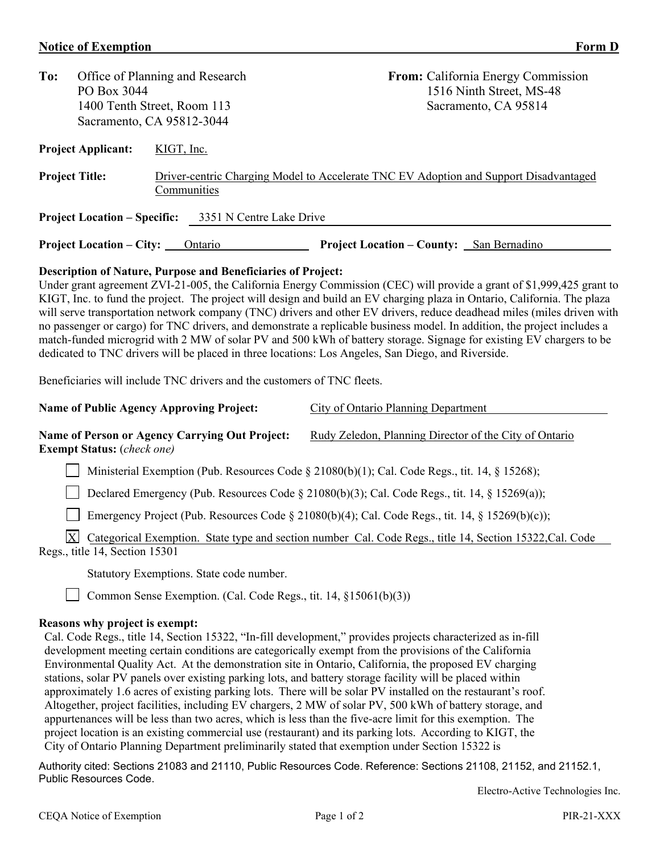## **Notice of Exemption** Form D

| To:                                                                                                                                                                                                                                                                                                                                                                                                                                                                                                                                                                                                                                                                                                                                                                                                                                                                                                                                                                                     | Office of Planning and Research<br>PO Box 3044<br>1400 Tenth Street, Room 113<br>Sacramento, CA 95812-3044 |            |             | From: California Energy Commission<br>1516 Ninth Street, MS-48<br>Sacramento, CA 95814        |  |  |  |  |  |
|-----------------------------------------------------------------------------------------------------------------------------------------------------------------------------------------------------------------------------------------------------------------------------------------------------------------------------------------------------------------------------------------------------------------------------------------------------------------------------------------------------------------------------------------------------------------------------------------------------------------------------------------------------------------------------------------------------------------------------------------------------------------------------------------------------------------------------------------------------------------------------------------------------------------------------------------------------------------------------------------|------------------------------------------------------------------------------------------------------------|------------|-------------|-----------------------------------------------------------------------------------------------|--|--|--|--|--|
|                                                                                                                                                                                                                                                                                                                                                                                                                                                                                                                                                                                                                                                                                                                                                                                                                                                                                                                                                                                         | <b>Project Applicant:</b>                                                                                  | KIGT, Inc. |             |                                                                                               |  |  |  |  |  |
| <b>Project Title:</b>                                                                                                                                                                                                                                                                                                                                                                                                                                                                                                                                                                                                                                                                                                                                                                                                                                                                                                                                                                   |                                                                                                            |            | Communities | Driver-centric Charging Model to Accelerate TNC EV Adoption and Support Disadvantaged         |  |  |  |  |  |
| 3351 N Centre Lake Drive<br><b>Project Location – Specific:</b>                                                                                                                                                                                                                                                                                                                                                                                                                                                                                                                                                                                                                                                                                                                                                                                                                                                                                                                         |                                                                                                            |            |             |                                                                                               |  |  |  |  |  |
|                                                                                                                                                                                                                                                                                                                                                                                                                                                                                                                                                                                                                                                                                                                                                                                                                                                                                                                                                                                         | <b>Project Location – City:</b>                                                                            |            | Ontario     | <b>Project Location - County:</b> San Bernadino                                               |  |  |  |  |  |
| <b>Description of Nature, Purpose and Beneficiaries of Project:</b><br>Under grant agreement ZVI-21-005, the California Energy Commission (CEC) will provide a grant of \$1,999,425 grant to<br>KIGT, Inc. to fund the project. The project will design and build an EV charging plaza in Ontario, California. The plaza<br>will serve transportation network company (TNC) drivers and other EV drivers, reduce deadhead miles (miles driven with<br>no passenger or cargo) for TNC drivers, and demonstrate a replicable business model. In addition, the project includes a<br>match-funded microgrid with 2 MW of solar PV and 500 kWh of battery storage. Signage for existing EV chargers to be<br>dedicated to TNC drivers will be placed in three locations: Los Angeles, San Diego, and Riverside.<br>Beneficiaries will include TNC drivers and the customers of TNC fleets.<br><b>Name of Public Agency Approving Project:</b><br><b>City of Ontario Planning Department</b> |                                                                                                            |            |             |                                                                                               |  |  |  |  |  |
| Name of Person or Agency Carrying Out Project:<br><b>Exempt Status:</b> (check one)                                                                                                                                                                                                                                                                                                                                                                                                                                                                                                                                                                                                                                                                                                                                                                                                                                                                                                     |                                                                                                            |            |             | Rudy Zeledon, Planning Director of the City of Ontario                                        |  |  |  |  |  |
|                                                                                                                                                                                                                                                                                                                                                                                                                                                                                                                                                                                                                                                                                                                                                                                                                                                                                                                                                                                         |                                                                                                            |            |             | Ministerial Exemption (Pub. Resources Code § 21080(b)(1); Cal. Code Regs., tit. 14, § 15268); |  |  |  |  |  |
|                                                                                                                                                                                                                                                                                                                                                                                                                                                                                                                                                                                                                                                                                                                                                                                                                                                                                                                                                                                         | Declared Emergency (Pub. Resources Code § 21080(b)(3); Cal. Code Regs., tit. 14, § 15269(a));              |            |             |                                                                                               |  |  |  |  |  |
| Emergency Project (Pub. Resources Code § 21080(b)(4); Cal. Code Regs., tit. 14, § 15269(b)(c));                                                                                                                                                                                                                                                                                                                                                                                                                                                                                                                                                                                                                                                                                                                                                                                                                                                                                         |                                                                                                            |            |             |                                                                                               |  |  |  |  |  |
| $\mathbf{X}$<br>Categorical Exemption. State type and section number Cal. Code Regs., title 14, Section 15322, Cal. Code<br>Regs., title 14, Section 15301                                                                                                                                                                                                                                                                                                                                                                                                                                                                                                                                                                                                                                                                                                                                                                                                                              |                                                                                                            |            |             |                                                                                               |  |  |  |  |  |
| Statutory Exemptions. State code number.                                                                                                                                                                                                                                                                                                                                                                                                                                                                                                                                                                                                                                                                                                                                                                                                                                                                                                                                                |                                                                                                            |            |             |                                                                                               |  |  |  |  |  |
| Common Sense Exemption. (Cal. Code Regs., tit. 14, §15061(b)(3))                                                                                                                                                                                                                                                                                                                                                                                                                                                                                                                                                                                                                                                                                                                                                                                                                                                                                                                        |                                                                                                            |            |             |                                                                                               |  |  |  |  |  |
| Reasons why project is exempt:<br>Cal. Code Regs., title 14, Section 15322, "In-fill development," provides projects characterized as in-fill                                                                                                                                                                                                                                                                                                                                                                                                                                                                                                                                                                                                                                                                                                                                                                                                                                           |                                                                                                            |            |             |                                                                                               |  |  |  |  |  |

development meeting certain conditions are categorically exempt from the provisions of the California Environmental Quality Act. At the demonstration site in Ontario, California, the proposed EV charging stations, solar PV panels over existing parking lots, and battery storage facility will be placed within approximately 1.6 acres of existing parking lots. There will be solar PV installed on the restaurant's roof. Altogether, project facilities, including EV chargers, 2 MW of solar PV, 500 kWh of battery storage, and appurtenances will be less than two acres, which is less than the five-acre limit for this exemption. The project location is an existing commercial use (restaurant) and its parking lots. According to KIGT, the City of Ontario Planning Department preliminarily stated that exemption under Section 15322 is

Authority cited: Sections 21083 and 21110, Public Resources Code. Reference: Sections 21108, 21152, and 21152.1, Public Resources Code.

Electro-Active Technologies Inc.